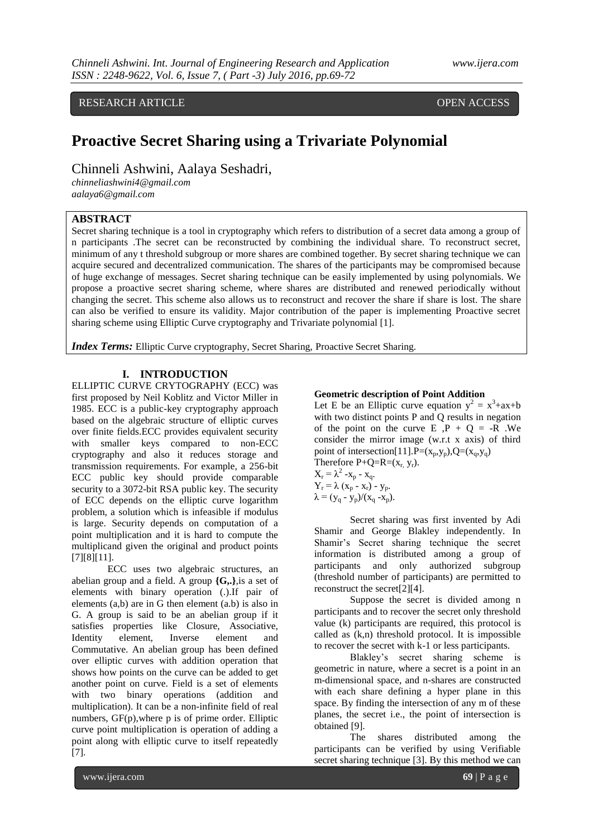# RESEARCH ARTICLE **CONSERVERS** OPEN ACCESS

# **Proactive Secret Sharing using a Trivariate Polynomial**

Chinneli Ashwini, Aalaya Seshadri,

*chinneliashwini4@gmail.com aalaya6@gmail.com*

# **ABSTRACT**

Secret sharing technique is a tool in cryptography which refers to distribution of a secret data among a group of n participants .The secret can be reconstructed by combining the individual share. To reconstruct secret, minimum of any t threshold subgroup or more shares are combined together. By secret sharing technique we can acquire secured and decentralized communication. The shares of the participants may be compromised because of huge exchange of messages. Secret sharing technique can be easily implemented by using polynomials. We propose a proactive secret sharing scheme, where shares are distributed and renewed periodically without changing the secret. This scheme also allows us to reconstruct and recover the share if share is lost. The share can also be verified to ensure its validity. Major contribution of the paper is implementing Proactive secret sharing scheme using Elliptic Curve cryptography and Trivariate polynomial [1].

*Index Terms:* Elliptic Curve cryptography, Secret Sharing, Proactive Secret Sharing.

# **I. INTRODUCTION**

ELLIPTIC CURVE CRYTOGRAPHY (ECC) was first proposed by Neil Koblitz and Victor Miller in 1985. ECC is a public-key cryptography approach based on the algebraic structure of elliptic curves over finite fields.ECC provides equivalent security with smaller keys compared to non-ECC cryptography and also it reduces storage and transmission requirements. For example, a 256-bit ECC public key should provide comparable security to a 3072-bit RSA public key. The security of ECC depends on the elliptic curve logarithm problem, a solution which is infeasible if modulus is large. Security depends on computation of a point multiplication and it is hard to compute the multiplicand given the original and product points [7][8][11].

ECC uses two algebraic structures, an abelian group and a field. A group **{G,.}**,is a set of elements with binary operation (.).If pair of elements (a,b) are in G then element (a.b) is also in G. A group is said to be an abelian group if it satisfies properties like Closure, Associative,<br>Identity element, Inverse element and element, Inverse element and Commutative. An abelian group has been defined over elliptic curves with addition operation that shows how points on the curve can be added to get another point on curve. Field is a set of elements with two binary operations (addition and multiplication). It can be a non-infinite field of real numbers, GF(p),where p is of prime order. Elliptic curve point multiplication is operation of adding a point along with elliptic curve to itself repeatedly [7].

# **Geometric description of Point Addition**

Let E be an Elliptic curve equation  $y^2 = x^3 + ax + b$ with two distinct points P and Q results in negation of the point on the curve  $E$ ,  $P + Q = -R$ . We consider the mirror image (w.r.t x axis) of third point of intersection[11].P= $(x_p, y_p)$ , $Q=(x_q, y_q)$ Therefore  $P+Q=R=(x_r, y_r)$ .

 $X_r = \lambda^2 - x_p - x_q.$  $Y_r = \lambda (x_p - x_r) - y_p.$  $\lambda = (y_q - y_p)/(x_q - x_p).$ 

Secret sharing was first invented by Adi Shamir and George Blakley independently. In Shamir's Secret sharing technique the secret information is distributed among a group of participants and only authorized subgroup (threshold number of participants) are permitted to reconstruct the secret[2][4].

Suppose the secret is divided among n participants and to recover the secret only threshold value (k) participants are required, this protocol is called as (k,n) threshold protocol. It is impossible to recover the secret with k-1 or less participants.

Blakley's secret sharing scheme is geometric in nature, where a secret is a point in an m-dimensional space, and n-shares are constructed with each share defining a hyper plane in this space. By finding the intersection of any m of these planes, the secret i.e., the point of intersection is obtained [9].

The shares distributed among the participants can be verified by using Verifiable secret sharing technique [3]. By this method we can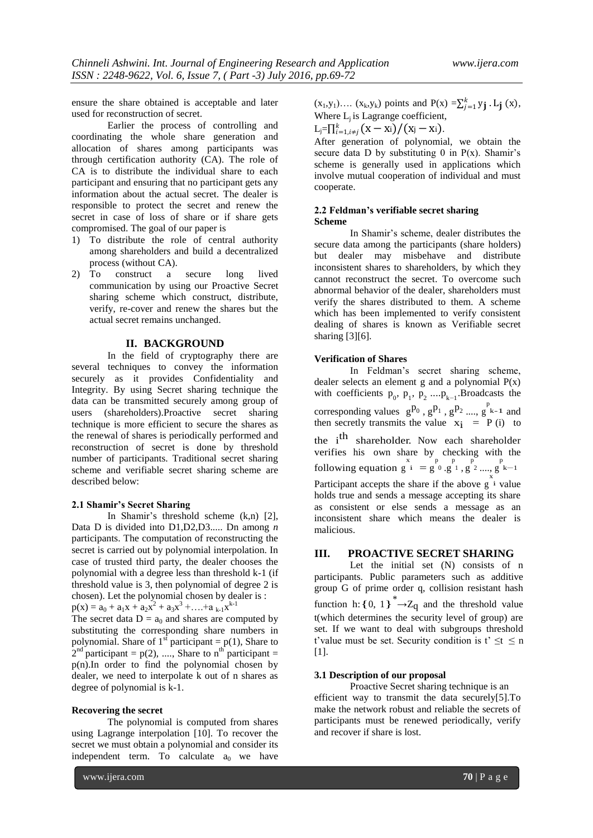ensure the share obtained is acceptable and later used for reconstruction of secret.

Earlier the process of controlling and coordinating the whole share generation and allocation of shares among participants was through certification authority (CA). The role of CA is to distribute the individual share to each participant and ensuring that no participant gets any information about the actual secret. The dealer is responsible to protect the secret and renew the secret in case of loss of share or if share gets compromised. The goal of our paper is

- 1) To distribute the role of central authority among shareholders and build a decentralized process (without CA).
- 2) To construct a secure long lived communication by using our Proactive Secret sharing scheme which construct, distribute, verify, re-cover and renew the shares but the actual secret remains unchanged.

# **II. BACKGROUND**

In the field of cryptography there are several techniques to convey the information securely as it provides Confidentiality and Integrity. By using Secret sharing technique the data can be transmitted securely among group of users (shareholders).Proactive secret sharing technique is more efficient to secure the shares as the renewal of shares is periodically performed and reconstruction of secret is done by threshold number of participants. Traditional secret sharing scheme and verifiable secret sharing scheme are described below:

### **2.1 Shamir's Secret Sharing**

In Shamir's threshold scheme (k,n) [2], Data D is divided into D1,D2,D3..... Dn among *n* participants. The computation of reconstructing the secret is carried out by polynomial interpolation. In case of trusted third party, the dealer chooses the polynomial with a degree less than threshold k-1 (if threshold value is 3, then polynomial of degree 2 is chosen). Let the polynomial chosen by dealer is :  $p(x) = a_0 + a_1x + a_2x^2 + a_3x^3 + \dots + a_{k-1}x^{k-1}$ 

The secret data  $D = a_0$  and shares are computed by substituting the corresponding share numbers in polynomial. Share of  $1^{st}$  participant = p(1), Share to  $2<sup>nd</sup>$  participant = p(2), ...., Share to n<sup>th</sup> participant = p(n).In order to find the polynomial chosen by dealer, we need to interpolate k out of n shares as degree of polynomial is k-1.

#### **Recovering the secret**

The polynomial is computed from shares using Lagrange interpolation [10]. To recover the secret we must obtain a polynomial and consider its independent term. To calculate  $a_0$  we have

 $(x_1,y_1)$ ....  $(x_k,y_k)$  points and  $P(x) = \sum_{j=1}^{k} y_j L_j(x)$ , Where  $L_i$  is Lagrange coefficient,

$$
L_j = \prod_{i=1, i \neq j}^k (X - X_i) / (X_j - X_i).
$$

After generation of polynomial, we obtain the secure data D by substituting  $0$  in  $P(x)$ . Shamir's scheme is generally used in applications which involve mutual cooperation of individual and must cooperate.

# **2.2 Feldman's verifiable secret sharing Scheme**

In Shamir's scheme, dealer distributes the secure data among the participants (share holders) but dealer may misbehave and distribute inconsistent shares to shareholders, by which they cannot reconstruct the secret. To overcome such abnormal behavior of the dealer, shareholders must verify the shares distributed to them. A scheme which has been implemented to verify consistent dealing of shares is known as Verifiable secret sharing [3][6].

#### **Verification of Shares**

In Feldman's secret sharing scheme, dealer selects an element g and a polynomial  $P(x)$ with coefficients  $p_0$ ,  $p_1$ ,  $p_2$  .... $p_{k-1}$ . Broadcasts the corresponding values  $g^{p_0}$ ,  $g^{p_1}$ ,  $g^{p_2}$  ...,  $g^{p_{k-1}}$  and then secretly transmits the value  $x_i$  = P (i) to the i<sup>th</sup> shareholder. Now each shareholder verifies his own share by checking with the following equation g x i = g p <sup>0</sup> .g p <sup>1</sup> , g p <sup>2</sup> ...., g p k−1 x Participant accepts the share if the above  $g^{\hat{i}}$  value holds true and sends a message accepting its share as consistent or else sends a message as an inconsistent share which means the dealer is malicious.

# **III. PROACTIVE SECRET SHARING**

Let the initial set (N) consists of n participants. Public parameters such as additive group G of prime order q, collision resistant hash function h: { 0, 1}<sup>\*</sup> $\rightarrow$ Z<sub>q</sub> and the threshold value t(which determines the security level of group) are set. If we want to deal with subgroups threshold t'value must be set. Security condition is  $t' \leq t \leq n$ [1].

# **3.1 Description of our proposal**

Proactive Secret sharing technique is an efficient way to transmit the data securely[5].To make the network robust and reliable the secrets of participants must be renewed periodically, verify and recover if share is lost.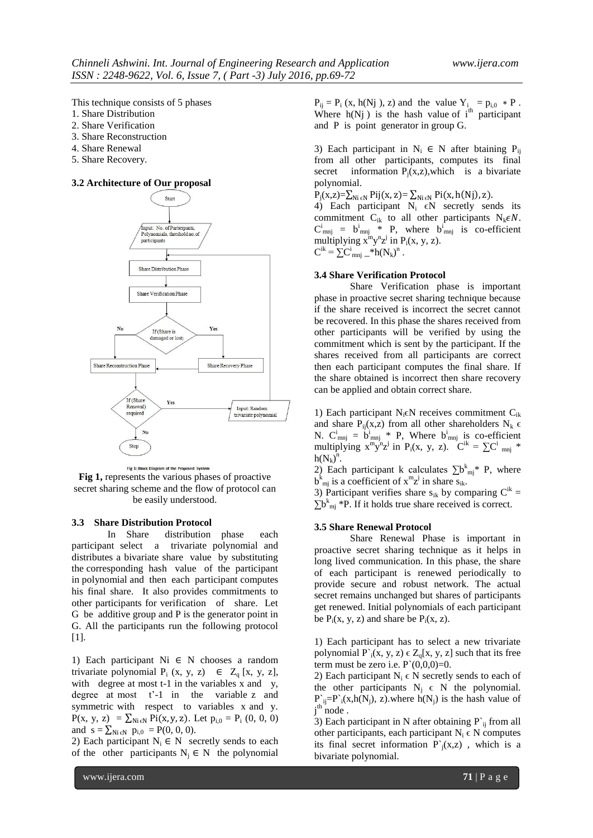This technique consists of 5 phases

- 1. Share Distribution
- 2. Share Verification
- 3. Share Reconstruction
- 4. Share Renewal
- 5. Share Recovery.

# **3.2 Architecture of Our proposal**



Fig 1: Block Diagram of the Proposed System **Fig 1,** represents the various phases of proactive secret sharing scheme and the flow of protocol can be easily understood.

# **3.3 Share Distribution Protocol**

In Share distribution phase each participant select a trivariate polynomial and distributes a bivariate share value by substituting the corresponding hash value of the participant in polynomial and then each participant computes his final share. It also provides commitments to other participants for verification of share. Let G be additive group and P is the generator point in G. All the participants run the following protocol [1].

1) Each participant Ni ∈ N chooses a random trivariate polynomial  $P_i$  (x, y, z)  $\in Z_a$  [x, y, z], with degree at most t-1 in the variables x and y, degree at most t'-1 in the variable z and symmetric with respect to variables x and y.  $P(x, y, z) = \sum_{N \in \mathbb{N}} Pi(x, y, z)$ . Let  $p_{i,0} = P_i (0, 0, 0)$ and  $s = \sum_{Ni \in N} p_{i,0} = P(0, 0, 0).$ 

2) Each participant  $N_i \in N$  secretly sends to each of the other participants  $N_i \in N$  the polynomial  $P_{ij} = P_i$  (x, h(Nj), z) and the value  $Y_i = p_{i,0} * P$ . Where  $h(Nj)$  is the hash value of  $i<sup>th</sup>$  participant and P is point generator in group G.

3) Each participant in  $N_i \in N$  after btaining  $P_{ii}$ from all other participants, computes its final secret information  $P_i(x, z)$ , which is a bivariate polynomial.

 $P_i(x,z)=\sum_{Ni \in N} Pij(x, z)=\sum_{Ni \in N} Pi(x, h(Nj), z).$ 

4) Each participant  $N_i$   $\in N$  secretly sends its commitment  $C_{ik}$  to all other participants  $N_k \in N$ .  $C_{mnj}^i = b_{mnj}^i * P$ , where  $b_{mnj}^i$  is co-efficient multiplying  $x^m y^n z^j$  in P<sub>i</sub>(x, y, z).  $C^{ik} = \sum_{m} C^{i}_{mnj}{}_{-}^{*} h(N_k)^n$ .

#### **3.4 Share Verification Protocol**

Share Verification phase is important phase in proactive secret sharing technique because if the share received is incorrect the secret cannot be recovered. In this phase the shares received from other participants will be verified by using the commitment which is sent by the participant. If the shares received from all participants are correct then each participant computes the final share. If the share obtained is incorrect then share recovery can be applied and obtain correct share.

1) Each participant  $N_i \in N$  receives commitment  $C_{ik}$ and share  $P_{ii}(x, z)$  from all other shareholders  $N_k \in$ N.  $C_{mnj}^{i} = b_{mnj}^{i} * P$ , Where  $b_{mnj}^{i}$  is co-efficient multiplying  $x^m y^n z^j$  in P<sub>i</sub>(x, y, z).  $C^{ik} = \sum C^i_{mnj}$  \*  $h(N_k)^n$ .

2) Each participant k calculates  $\sum b^k_{mj}$ \* P, where  $b^{k}_{mj}$  is a coefficient of  $x^{m}z^{j}$  in share  $s_{ik}$ .

3) Participant verifies share  $s_{ik}$  by comparing  $C^{ik} =$  $\sum b^k_{mj} * P$ . If it holds true share received is correct.

#### **3.5 Share Renewal Protocol**

Share Renewal Phase is important in proactive secret sharing technique as it helps in long lived communication. In this phase, the share of each participant is renewed periodically to provide secure and robust network. The actual secret remains unchanged but shares of participants get renewed. Initial polynomials of each participant be  $P_i(x, y, z)$  and share be  $P_i(x, z)$ .

1) Each participant has to select a new trivariate polynomial  $P(x, y, z) \in Z_0[x, y, z]$  such that its free term must be zero i.e.  $P'(0,0,0)=0$ .

2) Each participant  $N_i \in N$  secretly sends to each of the other participants  $N_i \in N$  the polynomial.  $P_{ij} = P_i(x,h(N_j), z)$ , where  $h(N_j)$  is the hash value of j<sup>th</sup> node.

3) Each participant in N after obtaining  $P^i$  if from all other participants, each participant  $N_i \in N$  computes its final secret information  $P^{\prime}(x,z)$ , which is a bivariate polynomial.